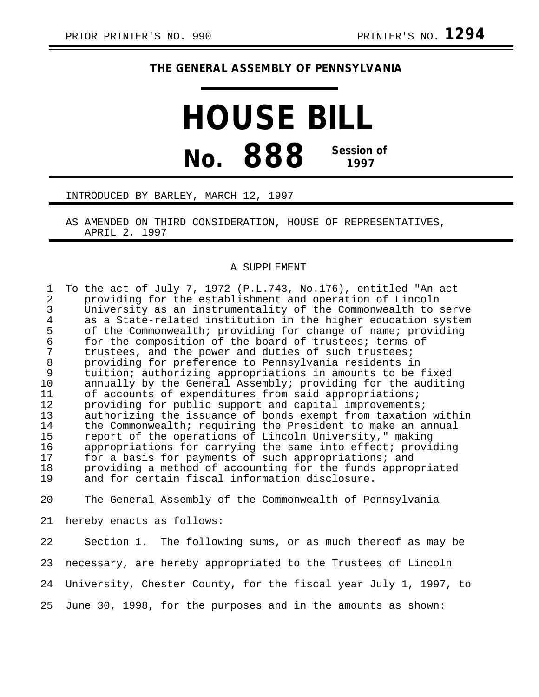## **THE GENERAL ASSEMBLY OF PENNSYLVANIA**

## **HOUSE BILL No. 888 Session of 1997**

## INTRODUCED BY BARLEY, MARCH 12, 1997

AS AMENDED ON THIRD CONSIDERATION, HOUSE OF REPRESENTATIVES, APRIL 2, 1997

## A SUPPLEMENT

1 To the act of July 7, 1972 (P.L.743, No.176), entitled "An act 2 providing for the establishment and operation of Lincoln 3 University as an instrumentality of the Commonwealth to serve 4 as a State-related institution in the higher education system<br>5 of the Commonwealth; providing for change of name; providing 5 of the Commonwealth; providing for change of name; providing<br>6 for the composition of the board of trustees; terms of 6 for the composition of the board of trustees; terms of<br>7 trustees, and the power and duties of such trustees; 7 trustees, and the power and duties of such trustees;<br>8 oroviding for preference to Pennsylvania residents in 8 providing for preference to Pennsylvania residents in<br>9 tuition; authorizing appropriations in amounts to be : 9 tuition; authorizing appropriations in amounts to be fixed<br>10 annually by the General Assembly; providing for the auditin annually by the General Assembly; providing for the auditing 11 of accounts of expenditures from said appropriations;<br>12 oroviding for public support and capital improvements 12 providing for public support and capital improvements;<br>13 authorizing the issuance of bonds exempt from taxation 13 authorizing the issuance of bonds exempt from taxation within<br>14 the Commonwealth; requiring the President to make an annual 14 the Commonwealth; requiring the President to make an annual<br>15 meport of the operations of Lincoln University," making 15 report of the operations of Lincoln University," making<br>16 appropriations for carrying the same into effect; provi appropriations for carrying the same into effect; providing 17 for a basis for payments of such appropriations; and 18 providing a method of accounting for the funds appropriated<br>19 and for certain fiscal information disclosure. and for certain fiscal information disclosure.

20 The General Assembly of the Commonwealth of Pennsylvania

21 hereby enacts as follows:

22 Section 1. The following sums, or as much thereof as may be 23 necessary, are hereby appropriated to the Trustees of Lincoln 24 University, Chester County, for the fiscal year July 1, 1997, to 25 June 30, 1998, for the purposes and in the amounts as shown: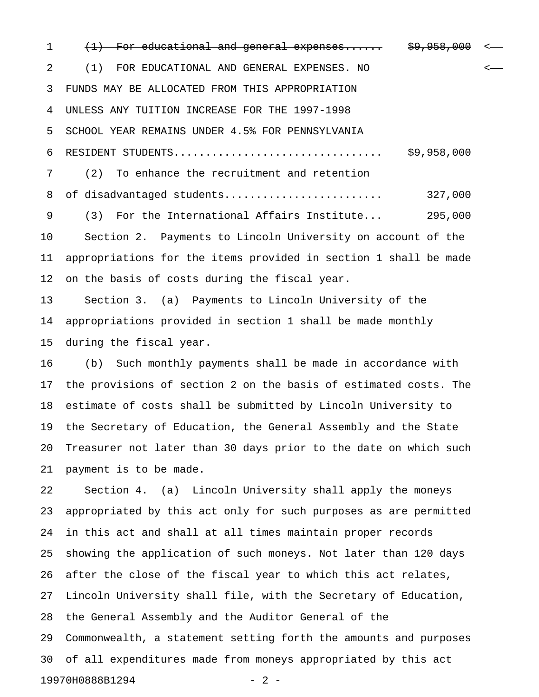1 (1) For educational and general expenses...... \$9,958,000 2 (1) FOR EDUCATIONAL AND GENERAL EXPENSES. NO < 3 FUNDS MAY BE ALLOCATED FROM THIS APPROPRIATION 4 UNLESS ANY TUITION INCREASE FOR THE 1997-1998 5 SCHOOL YEAR REMAINS UNDER 4.5% FOR PENNSYLVANIA 6 RESIDENT STUDENTS................................. \$9,958,000 7 (2) To enhance the recruitment and retention 8 of disadvantaged students......................... 327,000 9 (3) For the International Affairs Institute... 295,000 10 Section 2. Payments to Lincoln University on account of the 11 appropriations for the items provided in section 1 shall be made 12 on the basis of costs during the fiscal year.

13 Section 3. (a) Payments to Lincoln University of the 14 appropriations provided in section 1 shall be made monthly 15 during the fiscal year.

16 (b) Such monthly payments shall be made in accordance with 17 the provisions of section 2 on the basis of estimated costs. The 18 estimate of costs shall be submitted by Lincoln University to 19 the Secretary of Education, the General Assembly and the State 20 Treasurer not later than 30 days prior to the date on which such 21 payment is to be made.

22 Section 4. (a) Lincoln University shall apply the moneys 23 appropriated by this act only for such purposes as are permitted 24 in this act and shall at all times maintain proper records 25 showing the application of such moneys. Not later than 120 days 26 after the close of the fiscal year to which this act relates, 27 Lincoln University shall file, with the Secretary of Education, 28 the General Assembly and the Auditor General of the 29 Commonwealth, a statement setting forth the amounts and purposes 30 of all expenditures made from moneys appropriated by this act 19970H0888B1294 - 2 -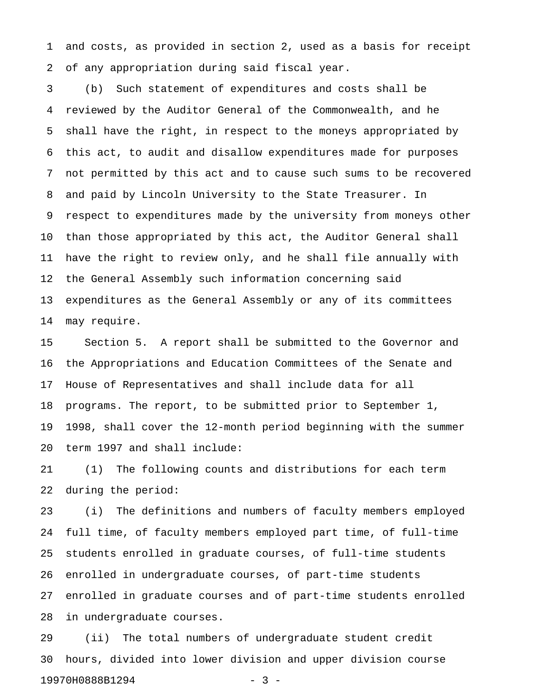1 and costs, as provided in section 2, used as a basis for receipt 2 of any appropriation during said fiscal year.

3 (b) Such statement of expenditures and costs shall be 4 reviewed by the Auditor General of the Commonwealth, and he 5 shall have the right, in respect to the moneys appropriated by 6 this act, to audit and disallow expenditures made for purposes 7 not permitted by this act and to cause such sums to be recovered 8 and paid by Lincoln University to the State Treasurer. In 9 respect to expenditures made by the university from moneys other 10 than those appropriated by this act, the Auditor General shall 11 have the right to review only, and he shall file annually with 12 the General Assembly such information concerning said 13 expenditures as the General Assembly or any of its committees 14 may require.

15 Section 5. A report shall be submitted to the Governor and 16 the Appropriations and Education Committees of the Senate and 17 House of Representatives and shall include data for all 18 programs. The report, to be submitted prior to September 1, 19 1998, shall cover the 12-month period beginning with the summer 20 term 1997 and shall include:

21 (1) The following counts and distributions for each term 22 during the period:

23 (i) The definitions and numbers of faculty members employed 24 full time, of faculty members employed part time, of full-time 25 students enrolled in graduate courses, of full-time students 26 enrolled in undergraduate courses, of part-time students 27 enrolled in graduate courses and of part-time students enrolled 28 in undergraduate courses.

29 (ii) The total numbers of undergraduate student credit 30 hours, divided into lower division and upper division course 19970H0888B1294 - 3 -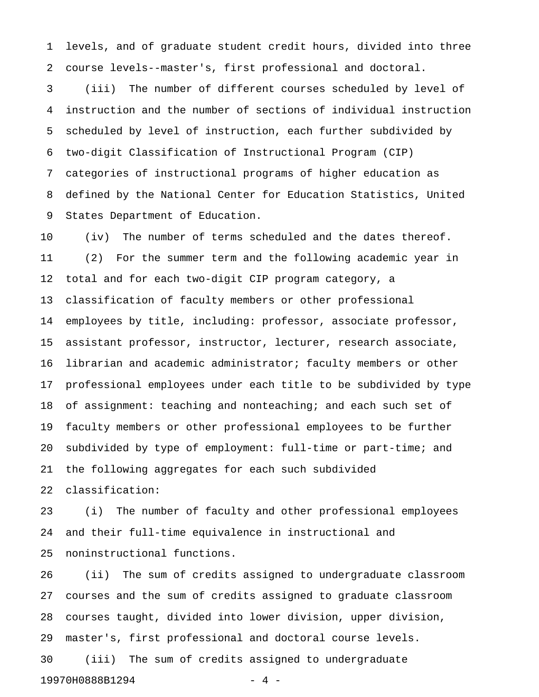1 levels, and of graduate student credit hours, divided into three 2 course levels--master's, first professional and doctoral.

3 (iii) The number of different courses scheduled by level of 4 instruction and the number of sections of individual instruction 5 scheduled by level of instruction, each further subdivided by 6 two-digit Classification of Instructional Program (CIP) 7 categories of instructional programs of higher education as 8 defined by the National Center for Education Statistics, United 9 States Department of Education.

10 (iv) The number of terms scheduled and the dates thereof. 11 (2) For the summer term and the following academic year in 12 total and for each two-digit CIP program category, a 13 classification of faculty members or other professional 14 employees by title, including: professor, associate professor, 15 assistant professor, instructor, lecturer, research associate, 16 librarian and academic administrator; faculty members or other 17 professional employees under each title to be subdivided by type 18 of assignment: teaching and nonteaching; and each such set of 19 faculty members or other professional employees to be further 20 subdivided by type of employment: full-time or part-time; and 21 the following aggregates for each such subdivided 22 classification:

23 (i) The number of faculty and other professional employees 24 and their full-time equivalence in instructional and 25 noninstructional functions.

26 (ii) The sum of credits assigned to undergraduate classroom 27 courses and the sum of credits assigned to graduate classroom 28 courses taught, divided into lower division, upper division, 29 master's, first professional and doctoral course levels. 30 (iii) The sum of credits assigned to undergraduate 19970H0888B1294 - 4 -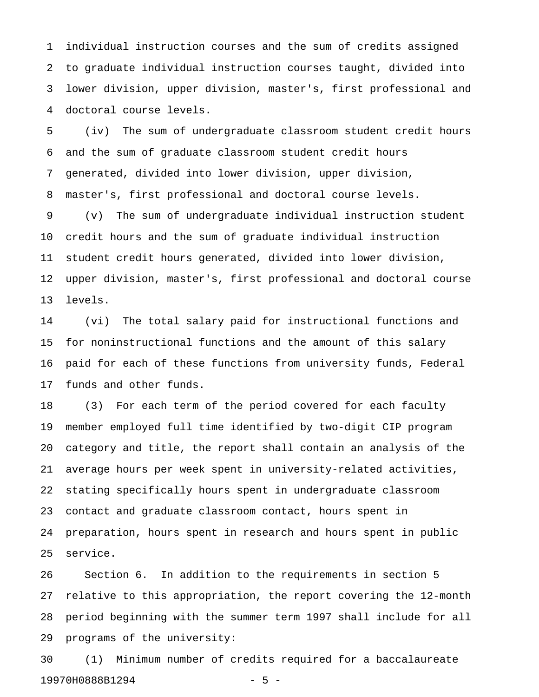1 individual instruction courses and the sum of credits assigned 2 to graduate individual instruction courses taught, divided into 3 lower division, upper division, master's, first professional and 4 doctoral course levels.

5 (iv) The sum of undergraduate classroom student credit hours 6 and the sum of graduate classroom student credit hours 7 generated, divided into lower division, upper division, 8 master's, first professional and doctoral course levels. 9 (v) The sum of undergraduate individual instruction student 10 credit hours and the sum of graduate individual instruction 11 student credit hours generated, divided into lower division, 12 upper division, master's, first professional and doctoral course 13 levels.

14 (vi) The total salary paid for instructional functions and 15 for noninstructional functions and the amount of this salary 16 paid for each of these functions from university funds, Federal 17 funds and other funds.

18 (3) For each term of the period covered for each faculty 19 member employed full time identified by two-digit CIP program 20 category and title, the report shall contain an analysis of the 21 average hours per week spent in university-related activities, 22 stating specifically hours spent in undergraduate classroom 23 contact and graduate classroom contact, hours spent in 24 preparation, hours spent in research and hours spent in public 25 service.

26 Section 6. In addition to the requirements in section 5 27 relative to this appropriation, the report covering the 12-month 28 period beginning with the summer term 1997 shall include for all 29 programs of the university:

30 (1) Minimum number of credits required for a baccalaureate 19970H0888B1294 - 5 -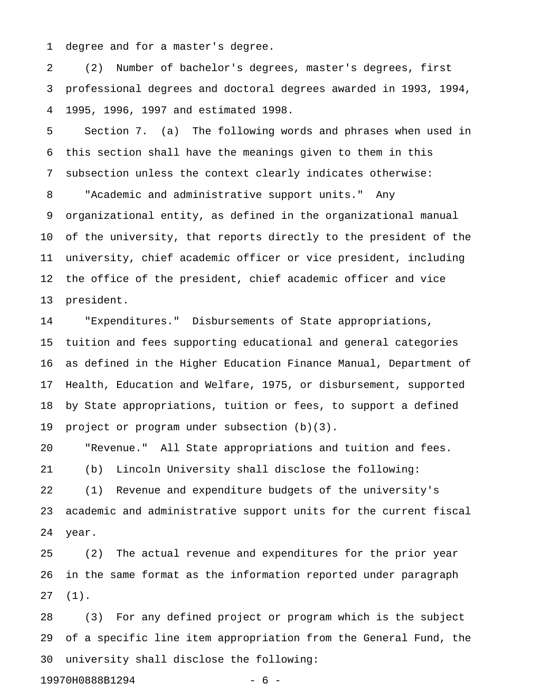1 degree and for a master's degree.

2 (2) Number of bachelor's degrees, master's degrees, first 3 professional degrees and doctoral degrees awarded in 1993, 1994, 4 1995, 1996, 1997 and estimated 1998.

5 Section 7. (a) The following words and phrases when used in 6 this section shall have the meanings given to them in this 7 subsection unless the context clearly indicates otherwise: 8 "Academic and administrative support units." Any 9 organizational entity, as defined in the organizational manual 10 of the university, that reports directly to the president of the 11 university, chief academic officer or vice president, including 12 the office of the president, chief academic officer and vice 13 president.

14 "Expenditures." Disbursements of State appropriations, 15 tuition and fees supporting educational and general categories 16 as defined in the Higher Education Finance Manual, Department of 17 Health, Education and Welfare, 1975, or disbursement, supported 18 by State appropriations, tuition or fees, to support a defined 19 project or program under subsection (b)(3).

20 "Revenue." All State appropriations and tuition and fees. 21 (b) Lincoln University shall disclose the following: 22 (1) Revenue and expenditure budgets of the university's 23 academic and administrative support units for the current fiscal 24 year.

25 (2) The actual revenue and expenditures for the prior year 26 in the same format as the information reported under paragraph 27 (1).

28 (3) For any defined project or program which is the subject 29 of a specific line item appropriation from the General Fund, the 30 university shall disclose the following:

19970H0888B1294 - 6 -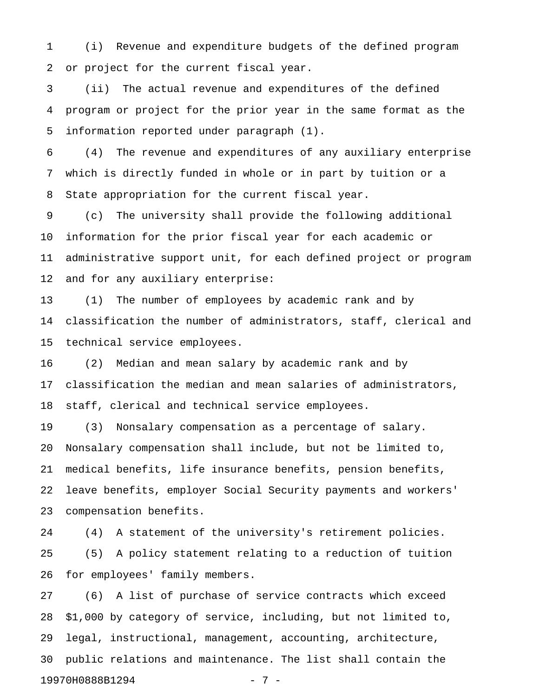1 (i) Revenue and expenditure budgets of the defined program 2 or project for the current fiscal year.

3 (ii) The actual revenue and expenditures of the defined 4 program or project for the prior year in the same format as the 5 information reported under paragraph (1).

6 (4) The revenue and expenditures of any auxiliary enterprise 7 which is directly funded in whole or in part by tuition or a 8 State appropriation for the current fiscal year.

9 (c) The university shall provide the following additional 10 information for the prior fiscal year for each academic or 11 administrative support unit, for each defined project or program 12 and for any auxiliary enterprise:

13 (1) The number of employees by academic rank and by 14 classification the number of administrators, staff, clerical and 15 technical service employees.

16 (2) Median and mean salary by academic rank and by 17 classification the median and mean salaries of administrators, 18 staff, clerical and technical service employees.

19 (3) Nonsalary compensation as a percentage of salary. 20 Nonsalary compensation shall include, but not be limited to, 21 medical benefits, life insurance benefits, pension benefits, 22 leave benefits, employer Social Security payments and workers' 23 compensation benefits.

24 (4) A statement of the university's retirement policies. 25 (5) A policy statement relating to a reduction of tuition 26 for employees' family members.

27 (6) A list of purchase of service contracts which exceed 28 \$1,000 by category of service, including, but not limited to, 29 legal, instructional, management, accounting, architecture, 30 public relations and maintenance. The list shall contain the 19970H0888B1294 - 7 -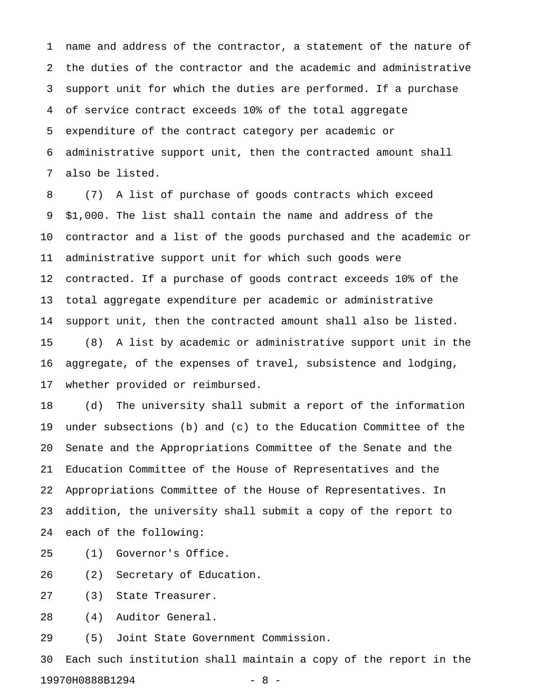1 name and address of the contractor, a statement of the nature of 2 the duties of the contractor and the academic and administrative 3 support unit for which the duties are performed. If a purchase 4 of service contract exceeds 10% of the total aggregate 5 expenditure of the contract category per academic or 6 administrative support unit, then the contracted amount shall 7 also be listed.

8 (7) A list of purchase of goods contracts which exceed 9 \$1,000. The list shall contain the name and address of the 10 contractor and a list of the goods purchased and the academic or 11 administrative support unit for which such goods were 12 contracted. If a purchase of goods contract exceeds 10% of the 13 total aggregate expenditure per academic or administrative 14 support unit, then the contracted amount shall also be listed. 15 (8) A list by academic or administrative support unit in the 16 aggregate, of the expenses of travel, subsistence and lodging, 17 whether provided or reimbursed.

18 (d) The university shall submit a report of the information 19 under subsections (b) and (c) to the Education Committee of the 20 Senate and the Appropriations Committee of the Senate and the 21 Education Committee of the House of Representatives and the 22 Appropriations Committee of the House of Representatives. In 23 addition, the university shall submit a copy of the report to 24 each of the following:

25 (1) Governor's Office.

26 (2) Secretary of Education.

27 (3) State Treasurer.

28 (4) Auditor General.

29 (5) Joint State Government Commission.

30 Each such institution shall maintain a copy of the report in the 19970H0888B1294 - 8 -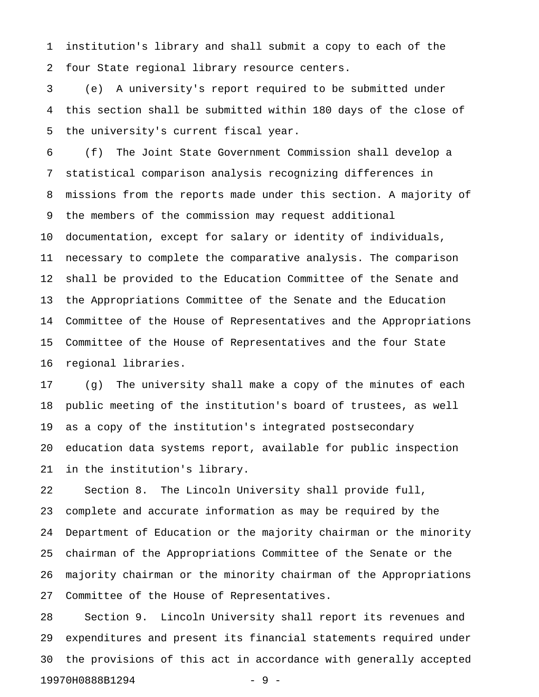1 institution's library and shall submit a copy to each of the 2 four State regional library resource centers.

3 (e) A university's report required to be submitted under 4 this section shall be submitted within 180 days of the close of 5 the university's current fiscal year.

6 (f) The Joint State Government Commission shall develop a 7 statistical comparison analysis recognizing differences in 8 missions from the reports made under this section. A majority of 9 the members of the commission may request additional 10 documentation, except for salary or identity of individuals, 11 necessary to complete the comparative analysis. The comparison 12 shall be provided to the Education Committee of the Senate and 13 the Appropriations Committee of the Senate and the Education 14 Committee of the House of Representatives and the Appropriations 15 Committee of the House of Representatives and the four State 16 regional libraries.

17 (g) The university shall make a copy of the minutes of each 18 public meeting of the institution's board of trustees, as well 19 as a copy of the institution's integrated postsecondary 20 education data systems report, available for public inspection 21 in the institution's library.

22 Section 8. The Lincoln University shall provide full, 23 complete and accurate information as may be required by the 24 Department of Education or the majority chairman or the minority 25 chairman of the Appropriations Committee of the Senate or the 26 majority chairman or the minority chairman of the Appropriations 27 Committee of the House of Representatives.

28 Section 9. Lincoln University shall report its revenues and 29 expenditures and present its financial statements required under 30 the provisions of this act in accordance with generally accepted 19970H0888B1294 - 9 -